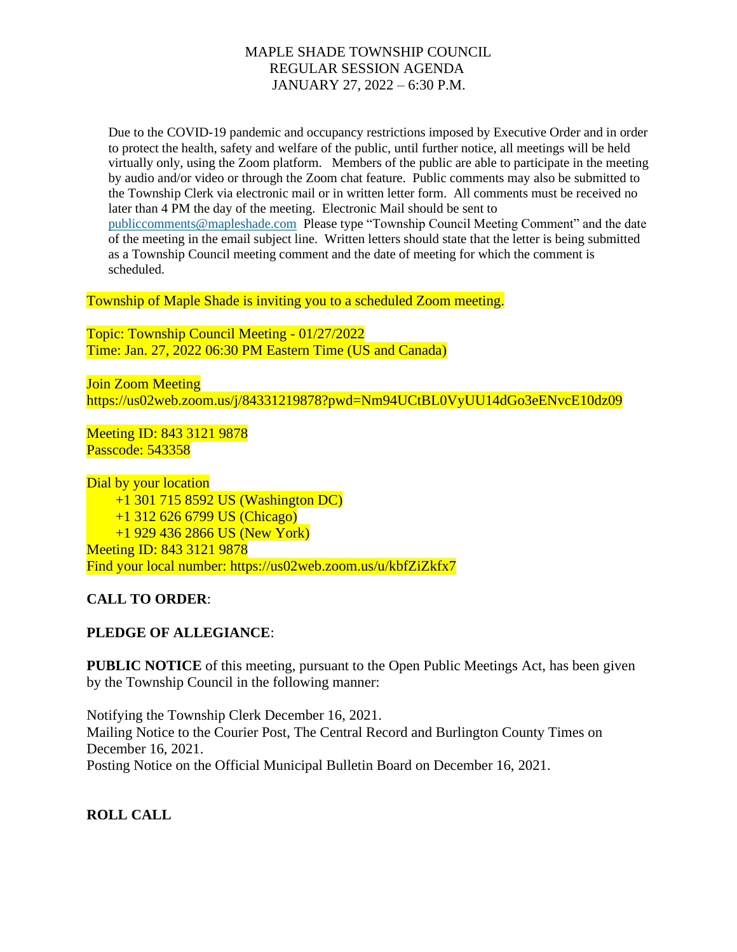Due to the COVID-19 pandemic and occupancy restrictions imposed by Executive Order and in order to protect the health, safety and welfare of the public, until further notice, all meetings will be held virtually only, using the Zoom platform. Members of the public are able to participate in the meeting by audio and/or video or through the Zoom chat feature. Public comments may also be submitted to the Township Clerk via electronic mail or in written letter form. All comments must be received no later than 4 PM the day of the meeting. Electronic Mail should be sent to [publiccomments@mapleshade.com](mailto:publiccomments@mapleshade.com) Please type "Township Council Meeting Comment" and the date of the meeting in the email subject line. Written letters should state that the letter is being submitted as a Township Council meeting comment and the date of meeting for which the comment is scheduled.

Township of Maple Shade is inviting you to a scheduled Zoom meeting.

Topic: Township Council Meeting - 01/27/2022 Time: Jan. 27, 2022 06:30 PM Eastern Time (US and Canada)

Join Zoom Meeting https://us02web.zoom.us/j/84331219878?pwd=Nm94UCtBL0VyUU14dGo3eENvcE10dz09

Meeting ID: 843 3121 9878 Passcode: 543358

Dial by your location +1 301 715 8592 US (Washington DC) +1 312 626 6799 US (Chicago) +1 929 436 2866 US (New York) Meeting ID: 843 3121 9878 Find your local number: https://us02web.zoom.us/u/kbfZiZkfx7

**CALL TO ORDER**:

#### **PLEDGE OF ALLEGIANCE**:

**PUBLIC NOTICE** of this meeting, pursuant to the Open Public Meetings Act, has been given by the Township Council in the following manner:

Notifying the Township Clerk December 16, 2021. Mailing Notice to the Courier Post, The Central Record and Burlington County Times on December 16, 2021. Posting Notice on the Official Municipal Bulletin Board on December 16, 2021.

**ROLL CALL**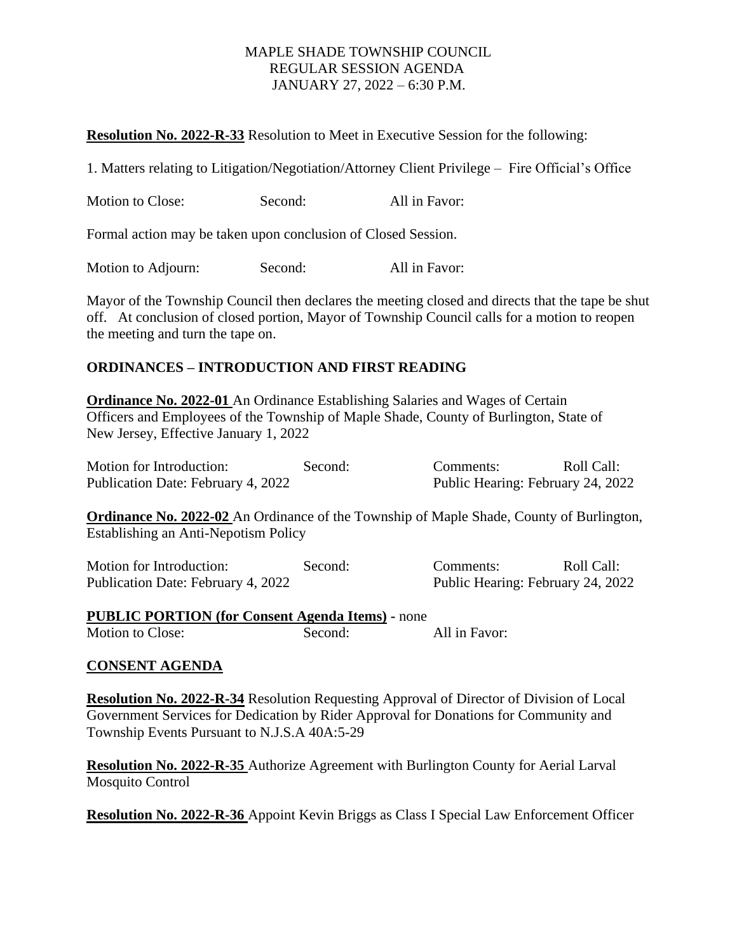### **Resolution No. 2022-R-33** Resolution to Meet in Executive Session for the following:

1. Matters relating to Litigation/Negotiation/Attorney Client Privilege – Fire Official's Office

| <b>Motion to Close:</b> | Second: | All in Favor: |
|-------------------------|---------|---------------|
|-------------------------|---------|---------------|

Formal action may be taken upon conclusion of Closed Session.

Motion to Adjourn: Second: All in Favor:

Mayor of the Township Council then declares the meeting closed and directs that the tape be shut off. At conclusion of closed portion, Mayor of Township Council calls for a motion to reopen the meeting and turn the tape on.

# **ORDINANCES – INTRODUCTION AND FIRST READING**

**Ordinance No. 2022-01** An Ordinance Establishing Salaries and Wages of Certain Officers and Employees of the Township of Maple Shade, County of Burlington, State of New Jersey, Effective January 1, 2022

| Motion for Introduction:           | Second: | Comments:                         | Roll Call: |
|------------------------------------|---------|-----------------------------------|------------|
| Publication Date: February 4, 2022 |         | Public Hearing: February 24, 2022 |            |

**Ordinance No. 2022-02** An Ordinance of the Township of Maple Shade, County of Burlington, Establishing an Anti-Nepotism Policy

| Motion for Introduction:           | Second: | Comments: | Roll Call:                        |
|------------------------------------|---------|-----------|-----------------------------------|
| Publication Date: February 4, 2022 |         |           | Public Hearing: February 24, 2022 |

**PUBLIC PORTION (for Consent Agenda Items) -** none Motion to Close: Second: All in Favor:

## **CONSENT AGENDA**

**Resolution No. 2022-R-34** Resolution Requesting Approval of Director of Division of Local Government Services for Dedication by Rider Approval for Donations for Community and Township Events Pursuant to N.J.S.A 40A:5-29

**Resolution No. 2022-R-35** Authorize Agreement with Burlington County for Aerial Larval Mosquito Control

**Resolution No. 2022-R-36** Appoint Kevin Briggs as Class I Special Law Enforcement Officer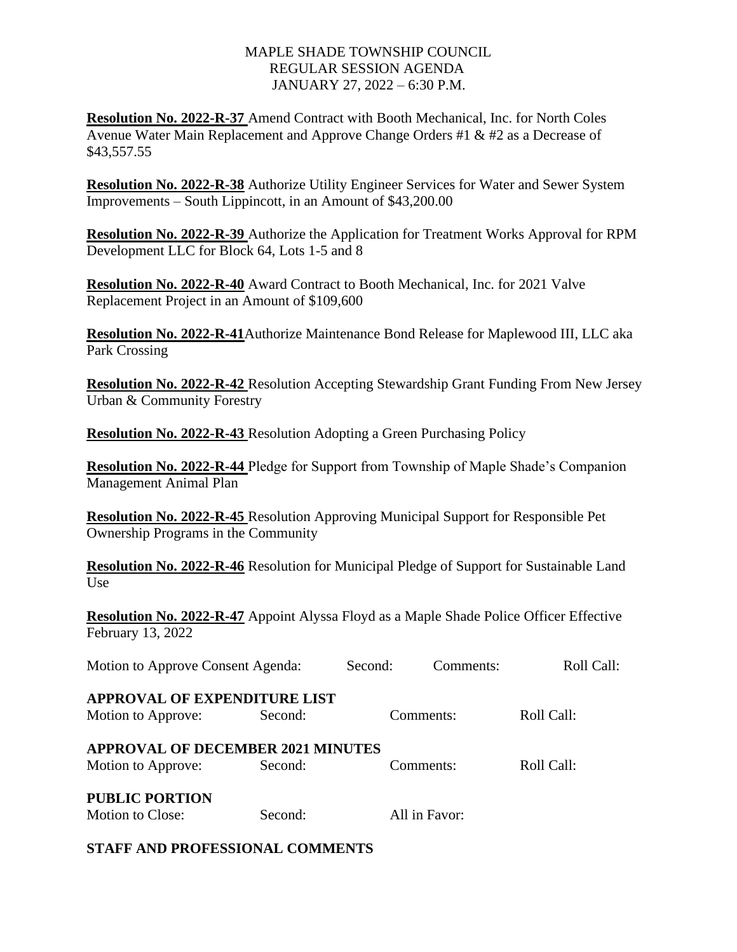**Resolution No. 2022-R-37** Amend Contract with Booth Mechanical, Inc. for North Coles Avenue Water Main Replacement and Approve Change Orders #1 & #2 as a Decrease of \$43,557.55

**Resolution No. 2022-R-38** Authorize Utility Engineer Services for Water and Sewer System Improvements – South Lippincott, in an Amount of \$43,200.00

**Resolution No. 2022-R-39** Authorize the Application for Treatment Works Approval for RPM Development LLC for Block 64, Lots 1-5 and 8

**Resolution No. 2022-R-40** Award Contract to Booth Mechanical, Inc. for 2021 Valve Replacement Project in an Amount of \$109,600

**Resolution No. 2022-R-41**Authorize Maintenance Bond Release for Maplewood III, LLC aka Park Crossing

**Resolution No. 2022-R-42** Resolution Accepting Stewardship Grant Funding From New Jersey Urban & Community Forestry

**Resolution No. 2022-R-43** Resolution Adopting a Green Purchasing Policy

**Resolution No. 2022-R-44** Pledge for Support from Township of Maple Shade's Companion Management Animal Plan

**Resolution No. 2022-R-45** Resolution Approving Municipal Support for Responsible Pet Ownership Programs in the Community

**Resolution No. 2022-R-46** Resolution for Municipal Pledge of Support for Sustainable Land Use

**Resolution No. 2022-R-47** Appoint Alyssa Floyd as a Maple Shade Police Officer Effective February 13, 2022

| Motion to Approve Consent Agenda:                              |         | Second: | Comments:     | Roll Call: |  |
|----------------------------------------------------------------|---------|---------|---------------|------------|--|
| <b>APPROVAL OF EXPENDITURE LIST</b><br>Motion to Approve:      | Second: |         | Comments:     | Roll Call: |  |
| <b>APPROVAL OF DECEMBER 2021 MINUTES</b><br>Motion to Approve: | Second: |         | Comments:     | Roll Call: |  |
| <b>PUBLIC PORTION</b><br>Motion to Close:                      | Second: |         | All in Favor: |            |  |

## **STAFF AND PROFESSIONAL COMMENTS**